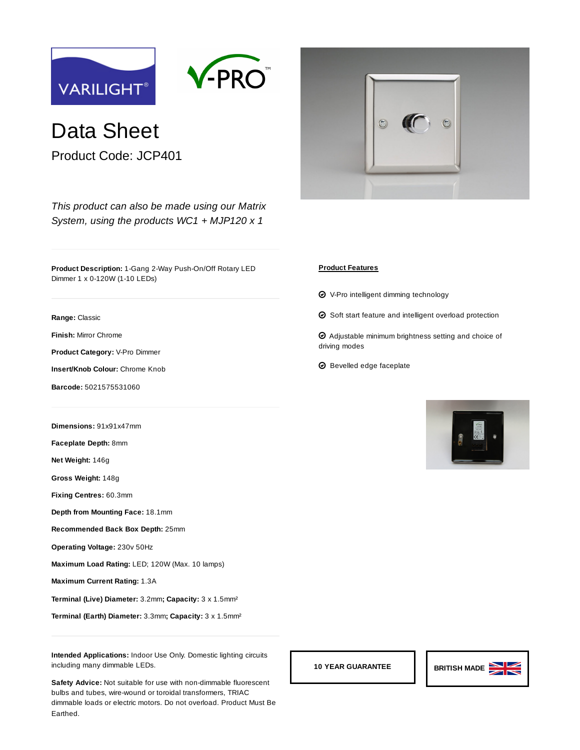



Data Sheet

Product Code: JCP401

*[This product can also be made using our Matrix](https://www.varilight.co.uk/ranges/range-matrix.php) System, using the products [WC1](https://www.varilight.co.uk/configurator/product.php?code=WC1) + [MJP120](https://www.varilight.co.uk/configurator/product.php?code=MJP120) x 1*

**Product Description:** 1-Gang 2-Way Push-On/Off Rotary LED Dimmer 1 x 0-120W (1-10 LEDs)

**Range:** [Classic](https://www.varilight.co.uk/ranges/classic-raised-profile.php)

**Finish:** [Mirror Chrome](https://www.varilight.co.uk/ranges/range-classic-mirror-chrome.php)

**Product Category:** V-Pro Dimmer

**Insert/Knob Colour:** Chrome Knob

**Barcode:** 5021575531060

**Dimensions:** 91x91x47mm

**Faceplate Depth:** 8mm

**Net Weight:** 146g

**Gross Weight:** 148g

**Fixing Centres:** 60.3mm

**Depth from Mounting Face:** 18.1mm

**Recommended Back Box Depth:** 25mm

**Operating Voltage:** 230v 50Hz

**Maximum Load Rating:** LED; 120W (Max. 10 lamps)

**Maximum Current Rating:** 1.3A

**Terminal (Live) Diameter:** 3.2mm**; Capacity:** 3 x 1.5mm²

**Terminal (Earth) Diameter:** 3.3mm**; Capacity:** 3 x 1.5mm²

**Intended Applications:** Indoor Use Only. Domestic lighting circuits including many dimmable LEDs.

**Safety Advice:** Not suitable for use with non-dimmable fluorescent bulbs and tubes, wire-wound or toroidal transformers, TRIAC dimmable loads or electric motors. Do not overload. Product Must Be Earthed.



## **Product Features**

- **⊘** ∨-Pro intelligent dimming technology
- $\Theta$  Soft start feature and intelligent overload protection

 $\bm{\Theta}$  Adjustable minimum brightness setting and choice of driving modes

 $\boldsymbol{\Theta}$  Bevelled edge faceplate